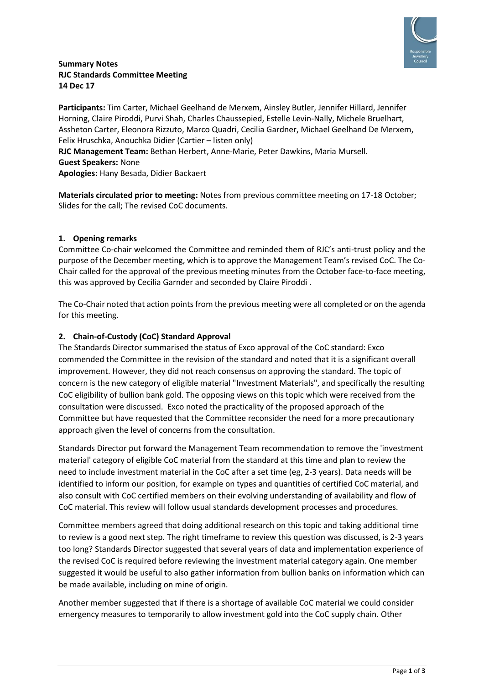

#### **Summary Notes RJC Standards Committee Meeting 14 Dec 17**

**Participants:** Tim Carter, Michael Geelhand de Merxem, Ainsley Butler, Jennifer Hillard, Jennifer Horning, Claire Piroddi, Purvi Shah, Charles Chaussepied, Estelle Levin-Nally, Michele Bruelhart, Assheton Carter, Eleonora Rizzuto, Marco Quadri, Cecilia Gardner, Michael Geelhand De Merxem, Felix Hruschka, Anouchka Didier (Cartier – listen only)

**RJC Management Team:** Bethan Herbert, Anne-Marie, Peter Dawkins, Maria Mursell. **Guest Speakers:** None **Apologies:** Hany Besada, Didier Backaert

**Materials circulated prior to meeting:** Notes from previous committee meeting on 17-18 October; Slides for the call; The revised CoC documents.

## **1. Opening remarks**

Committee Co-chair welcomed the Committee and reminded them of RJC's anti-trust policy and the purpose of the December meeting, which is to approve the Management Team's revised CoC. The Co-Chair called for the approval of the previous meeting minutes from the October face-to-face meeting, this was approved by Cecilia Garnder and seconded by Claire Piroddi .

The Co-Chair noted that action points from the previous meeting were all completed or on the agenda for this meeting.

## **2. Chain-of-Custody (CoC) Standard Approval**

The Standards Director summarised the status of Exco approval of the CoC standard: Exco commended the Committee in the revision of the standard and noted that it is a significant overall improvement. However, they did not reach consensus on approving the standard. The topic of concern is the new category of eligible material "Investment Materials", and specifically the resulting CoC eligibility of bullion bank gold. The opposing views on this topic which were received from the consultation were discussed. Exco noted the practicality of the proposed approach of the Committee but have requested that the Committee reconsider the need for a more precautionary approach given the level of concerns from the consultation.

Standards Director put forward the Management Team recommendation to remove the 'investment material' category of eligible CoC material from the standard at this time and plan to review the need to include investment material in the CoC after a set time (eg, 2-3 years). Data needs will be identified to inform our position, for example on types and quantities of certified CoC material, and also consult with CoC certified members on their evolving understanding of availability and flow of CoC material. This review will follow usual standards development processes and procedures.

Committee members agreed that doing additional research on this topic and taking additional time to review is a good next step. The right timeframe to review this question was discussed, is 2-3 years too long? Standards Director suggested that several years of data and implementation experience of the revised CoC is required before reviewing the investment material category again. One member suggested it would be useful to also gather information from bullion banks on information which can be made available, including on mine of origin.

Another member suggested that if there is a shortage of available CoC material we could consider emergency measures to temporarily to allow investment gold into the CoC supply chain. Other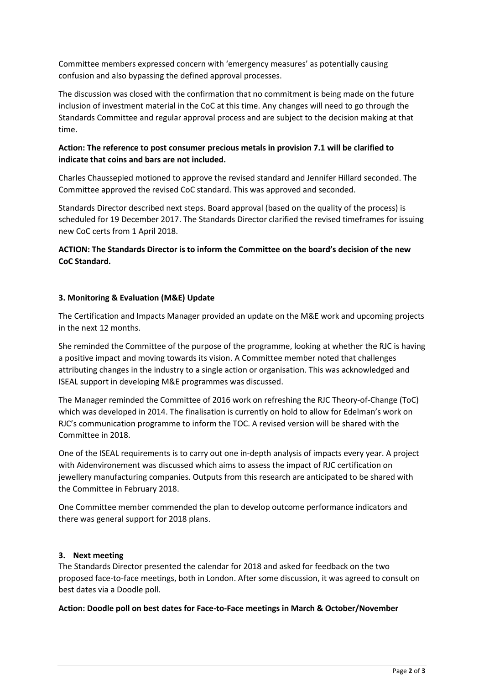Committee members expressed concern with 'emergency measures' as potentially causing confusion and also bypassing the defined approval processes.

The discussion was closed with the confirmation that no commitment is being made on the future inclusion of investment material in the CoC at this time. Any changes will need to go through the Standards Committee and regular approval process and are subject to the decision making at that time.

## **Action: The reference to post consumer precious metals in provision 7.1 will be clarified to indicate that coins and bars are not included.**

Charles Chaussepied motioned to approve the revised standard and Jennifer Hillard seconded. The Committee approved the revised CoC standard. This was approved and seconded.

Standards Director described next steps. Board approval (based on the quality of the process) is scheduled for 19 December 2017. The Standards Director clarified the revised timeframes for issuing new CoC certs from 1 April 2018.

## **ACTION: The Standards Director is to inform the Committee on the board's decision of the new CoC Standard.**

#### **3. Monitoring & Evaluation (M&E) Update**

The Certification and Impacts Manager provided an update on the M&E work and upcoming projects in the next 12 months.

She reminded the Committee of the purpose of the programme, looking at whether the RJC is having a positive impact and moving towards its vision. A Committee member noted that challenges attributing changes in the industry to a single action or organisation. This was acknowledged and ISEAL support in developing M&E programmes was discussed.

The Manager reminded the Committee of 2016 work on refreshing the RJC Theory-of-Change (ToC) which was developed in 2014. The finalisation is currently on hold to allow for Edelman's work on RJC's communication programme to inform the TOC. A revised version will be shared with the Committee in 2018.

One of the ISEAL requirements is to carry out one in-depth analysis of impacts every year. A project with Aidenvironement was discussed which aims to assess the impact of RJC certification on jewellery manufacturing companies. Outputs from this research are anticipated to be shared with the Committee in February 2018.

One Committee member commended the plan to develop outcome performance indicators and there was general support for 2018 plans.

#### **3. Next meeting**

The Standards Director presented the calendar for 2018 and asked for feedback on the two proposed face-to-face meetings, both in London. After some discussion, it was agreed to consult on best dates via a Doodle poll.

#### **Action: Doodle poll on best dates for Face-to-Face meetings in March & October/November**